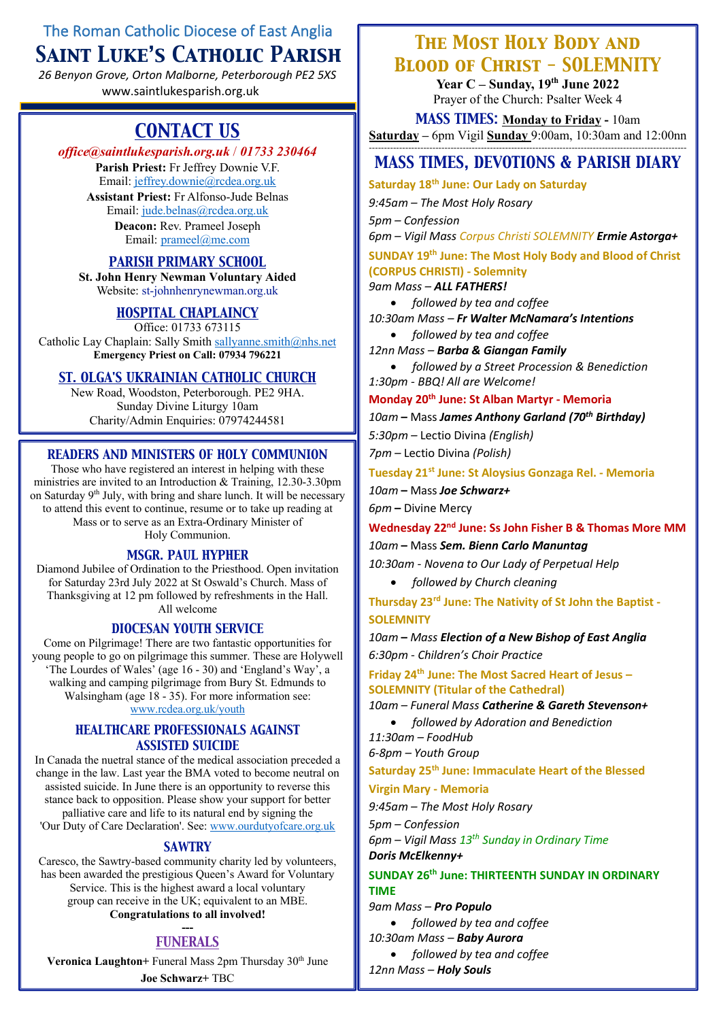# The Roman Catholic Diocese of East Anglia *Saint Luke's Catholic Parish*

*26 Benyon Grove, Orton Malborne, Peterborough PE2 5XS* www.saintlukesparish.org.uk

# *CONTACT US*

### *office@saintlukesparish.org.uk* / *01733 230464*

**Parish Priest:** Fr Jeffrey Downie V.F. Email: jeffrey.downie@rcdea.org.uk **Assistant Priest:** Fr Alfonso-Jude Belnas Email: jude.belnas@rcdea.org.uk **Deacon:** Rev. Prameel Joseph Email: prameel@me.com

# *PARISH PRIMARY SCHOOL*

**St. John Henry Newman Voluntary Aided** Website: st-johnhenrynewman.org.uk

### *HOSPITAL CHAPLAINCY*

Office: 01733 673115 Catholic Lay Chaplain: Sally Smith sallyanne.smith@nhs.net **Emergency Priest on Call: 07934 796221**

### *ST. OLGA'S UKRAINIAN CATHOLIC CHURCH*

New Road, Woodston, Peterborough. PE2 9HA. Sunday Divine Liturgy 10am Charity/Admin Enquiries: 07974244581

### *READERS AND MINISTERS OF HOLY COMMUNION*

Those who have registered an interest in helping with these ministries are invited to an Introduction & Training, 12.30-3.30pm on Saturday 9<sup>th</sup> July, with bring and share lunch. It will be necessary to attend this event to continue, resume or to take up reading at Mass or to serve as an Extra-Ordinary Minister of Holy Communion.

#### *MSGR. PAUL HYPHER*

Diamond Jubilee of Ordination to the Priesthood. Open invitation for Saturday 23rd July 2022 at St Oswald's Church. Mass of Thanksgiving at 12 pm followed by refreshments in the Hall. All welcome

### *DIOCESAN YOUTH SERVICE*

Come on Pilgrimage! There are two fantastic opportunities for young people to go on pilgrimage this summer. These are Holywell 'The Lourdes of Wales' (age 16 - 30) and 'England's Way', a walking and camping pilgrimage from Bury St. Edmunds to Walsingham (age  $18 - 35$ ). For more information see: www.rcdea.org.uk/youth

### *HEALTHCARE PROFESSIONALS AGAINST ASSISTED SUICIDE*

In Canada the nuetral stance of the medical association preceded a change in the law. Last year the BMA voted to become neutral on assisted suicide. In June there is an opportunity to reverse this stance back to opposition. Please show your support for better palliative care and life to its natural end by signing the 'Our Duty of Care Declaration'. See: www.ourdutyofcare.org.uk

#### *SAWTRY*

Caresco, the Sawtry-based community charity led by volunteers, has been awarded the prestigious Queen's Award for Voluntary Service. This is the highest award a local voluntary group can receive in the UK; equivalent to an MBE. **Congratulations to all involved!**

#### **---** *FUNERALS*

**Veronica Laughton+** Funeral Mass 2pm Thursday 30<sup>th</sup> June **Joe Schwarz+** TBC

# *The Most Holy Body and Blood of Christ - SOLEMNITY*

**Year C – Sunday, 19th June 2022** Prayer of the Church: Psalter Week 4

*MASS TIMES:* **Monday to Friday -** 10am **Saturday –** 6pm Vigil **Sunday** 9:00am, 10:30am and 12:00nn ---------------------------------------------------------------------------------------------------------

# *MASS TIMES, DEVOTIONS & PARISH DIARY*

**Saturday 18th June: Our Lady on Saturday**

*9:45am – The Most Holy Rosary*

*5pm – Confession*

*6pm – Vigil Mass Corpus Christi SOLEMNITY Ermie Astorga+*

### **SUNDAY 19th June: The Most Holy Body and Blood of Christ (CORPUS CHRISTI) - Solemnity** *9am Mass – ALL FATHERS!*

• *followed by tea and coffee*

*10:30am Mass – Fr Walter McNamara's Intentions*

• *followed by tea and coffee*

*12nn Mass – Barba & Giangan Family*

• *followed by a Street Procession & Benediction 1:30pm - BBQ! All are Welcome!*

**Monday 20th June: St Alban Martyr - Memoria**

*10am* **–** Mass *James Anthony Garland (70th Birthday)*

*5:30pm –* Lectio Divina *(English)*

*7pm –* Lectio Divina *(Polish)*

**Tuesday 21st June: St Aloysius Gonzaga Rel. - Memoria**

*10am* **–** Mass *Joe Schwarz+ 6pm* **–** Divine Mercy

### **Wednesday 22nd June: Ss John Fisher B & Thomas More MM**

*10am* **–** Mass *Sem. Bienn Carlo Manuntag*

*10:30am - Novena to Our Lady of Perpetual Help*

• *followed by Church cleaning*

**Thursday 23rd June: The Nativity of St John the Baptist - SOLEMNITY**

*10am* **–** *Mass Election of a New Bishop of East Anglia 6:30pm - Children's Choir Practice*

**Friday 24th June: The Most Sacred Heart of Jesus – SOLEMNITY (Titular of the Cathedral)**

*10am – Funeral Mass Catherine & Gareth Stevenson+*

• *followed by Adoration and Benediction*

*11:30am – FoodHub 6-8pm – Youth Group*

**Saturday 25th June: Immaculate Heart of the Blessed** 

**Virgin Mary - Memoria**

*9:45am – The Most Holy Rosary*

*5pm – Confession*

*6pm – Vigil Mass 13th Sunday in Ordinary Time Doris McElkenny+*

# **SUNDAY 26th June: THIRTEENTH SUNDAY IN ORDINARY TIME**

*9am Mass – Pro Populo*

- *followed by tea and coffee 10:30am Mass – Baby Aurora*
- *followed by tea and coffee*
- 
- *12nn Mass – Holy Souls*